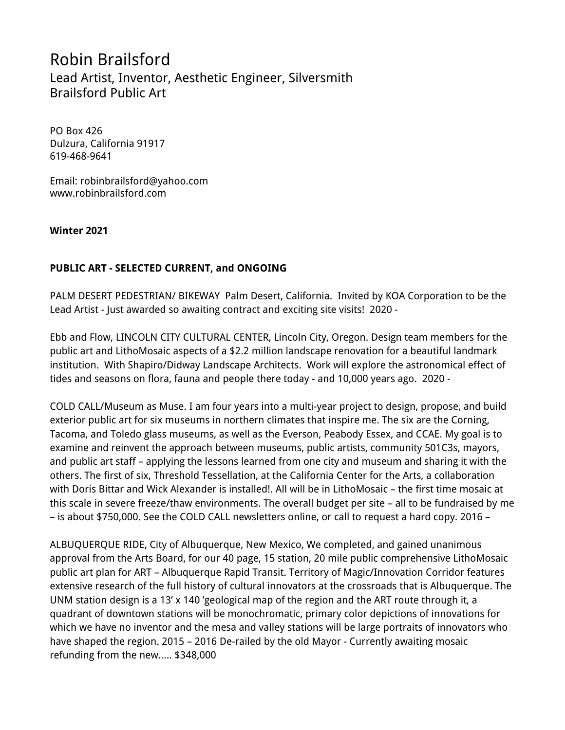# Robin Brailsford Lead Artist, Inventor, Aesthetic Engineer, Silversmith Brailsford Public Art

PO Box 426 Dulzura, California 91917 619-468-9641

Email: robinbrailsford@yahoo.com www.robinbrailsford.com

## **Winter 2021**

# **PUBLIC ART - SELECTED CURRENT, and ONGOING**

PALM DESERT PEDESTRIAN/ BIKEWAY Palm Desert, California. Invited by KOA Corporation to be the Lead Artist - Just awarded so awaiting contract and exciting site visits! 2020 -

Ebb and Flow, LINCOLN CITY CULTURAL CENTER, Lincoln City, Oregon. Design team members for the public art and LithoMosaic aspects of a \$2.2 million landscape renovation for a beautiful landmark institution. With Shapiro/Didway Landscape Architects. Work will explore the astronomical effect of tides and seasons on flora, fauna and people there today - and 10,000 years ago. 2020 -

COLD CALL/Museum as Muse. I am four years into a multi-year project to design, propose, and build exterior public art for six museums in northern climates that inspire me. The six are the Corning, Tacoma, and Toledo glass museums, as well as the Everson, Peabody Essex, and CCAE. My goal is to examine and reinvent the approach between museums, public artists, community 501C3s, mayors, and public art staff – applying the lessons learned from one city and museum and sharing it with the others. The first of six, Threshold Tessellation, at the California Center for the Arts, a collaboration with Doris Bittar and Wick Alexander is installed!. All will be in LithoMosaic – the first time mosaic at this scale in severe freeze/thaw environments. The overall budget per site – all to be fundraised by me – is about \$750,000. See the COLD CALL newsletters online, or call to request a hard copy. 2016 –

ALBUQUERQUE RIDE, City of Albuquerque, New Mexico, We completed, and gained unanimous approval from the Arts Board, for our 40 page, 15 station, 20 mile public comprehensive LithoMosaic public art plan for ART – Albuquerque Rapid Transit. Territory of Magic/Innovation Corridor features extensive research of the full history of cultural innovators at the crossroads that is Albuquerque. The UNM station design is a 13' x 140 'geological map of the region and the ART route through it, a quadrant of downtown stations will be monochromatic, primary color depictions of innovations for which we have no inventor and the mesa and valley stations will be large portraits of innovators who have shaped the region. 2015 – 2016 De-railed by the old Mayor - Currently awaiting mosaic refunding from the new..... \$348,000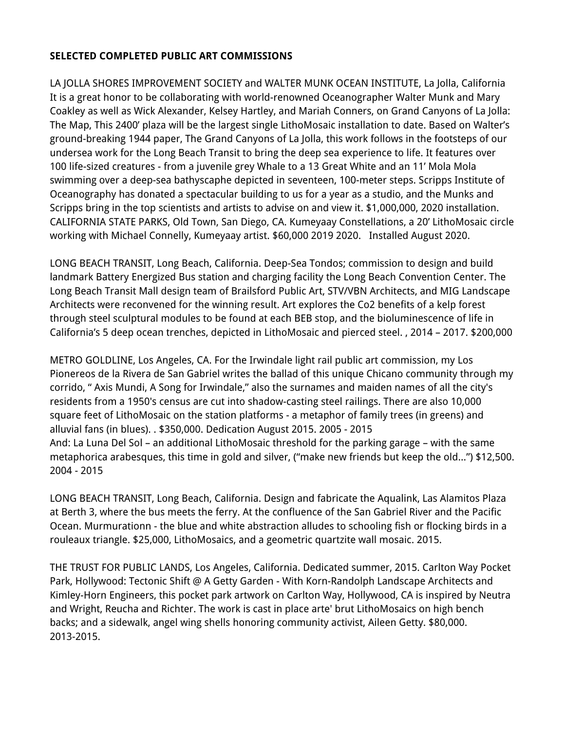# **SELECTED COMPLETED PUBLIC ART COMMISSIONS**

LA JOLLA SHORES IMPROVEMENT SOCIETY and WALTER MUNK OCEAN INSTITUTE, La Jolla, California It is a great honor to be collaborating with world-renowned Oceanographer Walter Munk and Mary Coakley as well as Wick Alexander, Kelsey Hartley, and Mariah Conners, on Grand Canyons of La Jolla: The Map, This 2400' plaza will be the largest single LithoMosaic installation to date. Based on Walter's ground-breaking 1944 paper, The Grand Canyons of La Jolla, this work follows in the footsteps of our undersea work for the Long Beach Transit to bring the deep sea experience to life. It features over 100 life-sized creatures - from a juvenile grey Whale to a 13 Great White and an 11' Mola Mola swimming over a deep-sea bathyscaphe depicted in seventeen, 100-meter steps. Scripps Institute of Oceanography has donated a spectacular building to us for a year as a studio, and the Munks and Scripps bring in the top scientists and artists to advise on and view it. \$1,000,000, 2020 installation. CALIFORNIA STATE PARKS, Old Town, San Diego, CA. Kumeyaay Constellations, a 20' LithoMosaic circle working with Michael Connelly, Kumeyaay artist. \$60,000 2019 2020. Installed August 2020.

LONG BEACH TRANSIT, Long Beach, California. Deep-Sea Tondos; commission to design and build landmark Battery Energized Bus station and charging facility the Long Beach Convention Center. The Long Beach Transit Mall design team of Brailsford Public Art, STV/VBN Architects, and MIG Landscape Architects were reconvened for the winning result. Art explores the Co2 benefits of a kelp forest through steel sculptural modules to be found at each BEB stop, and the bioluminescence of life in California's 5 deep ocean trenches, depicted in LithoMosaic and pierced steel. , 2014 – 2017. \$200,000

METRO GOLDLINE, Los Angeles, CA. For the Irwindale light rail public art commission, my Los Pionereos de la Rivera de San Gabriel writes the ballad of this unique Chicano community through my corrido, " Axis Mundi, A Song for Irwindale," also the surnames and maiden names of all the city's residents from a 1950's census are cut into shadow-casting steel railings. There are also 10,000 square feet of LithoMosaic on the station platforms - a metaphor of family trees (in greens) and alluvial fans (in blues). . \$350,000. Dedication August 2015. 2005 - 2015 And: La Luna Del Sol – an additional LithoMosaic threshold for the parking garage – with the same metaphorica arabesques, this time in gold and silver, ("make new friends but keep the old...") \$12,500. 2004 - 2015

LONG BEACH TRANSIT, Long Beach, California. Design and fabricate the Aqualink, Las Alamitos Plaza at Berth 3, where the bus meets the ferry. At the confluence of the San Gabriel River and the Pacific Ocean. Murmurationn - the blue and white abstraction alludes to schooling fish or flocking birds in a rouleaux triangle. \$25,000, LithoMosaics, and a geometric quartzite wall mosaic. 2015.

THE TRUST FOR PUBLIC LANDS, Los Angeles, California. Dedicated summer, 2015. Carlton Way Pocket Park, Hollywood: Tectonic Shift @ A Getty Garden - With Korn-Randolph Landscape Architects and Kimley-Horn Engineers, this pocket park artwork on Carlton Way, Hollywood, CA is inspired by Neutra and Wright, Reucha and Richter. The work is cast in place arte' brut LithoMosaics on high bench backs; and a sidewalk, angel wing shells honoring community activist, Aileen Getty. \$80,000. 2013-2015.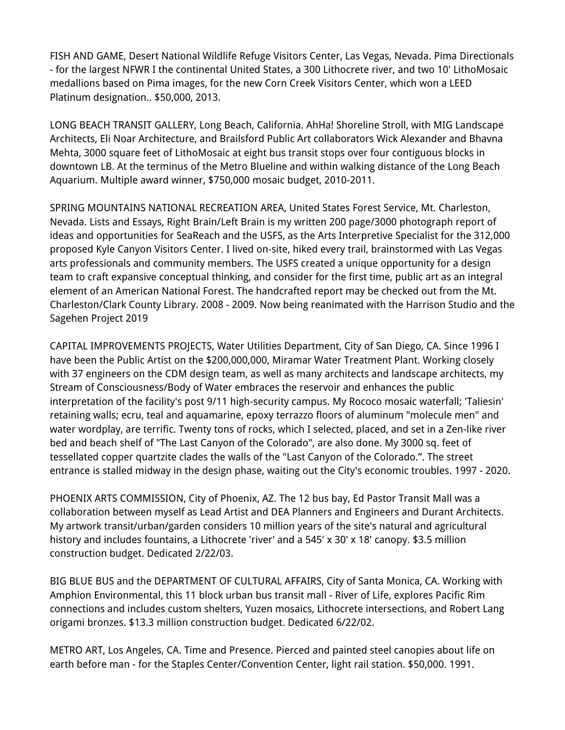FISH AND GAME, Desert National Wildlife Refuge Visitors Center, Las Vegas, Nevada. Pima Directionals - for the largest NFWR I the continental United States, a 300 Lithocrete river, and two 10' LithoMosaic medallions based on Pima images, for the new Corn Creek Visitors Center, which won a LEED Platinum designation.. \$50,000, 2013.

LONG BEACH TRANSIT GALLERY, Long Beach, California. AhHa! Shoreline Stroll, with MIG Landscape Architects, Eli Noar Architecture, and Brailsford Public Art collaborators Wick Alexander and Bhavna Mehta, 3000 square feet of LithoMosaic at eight bus transit stops over four contiguous blocks in downtown LB. At the terminus of the Metro Blueline and within walking distance of the Long Beach Aquarium. Multiple award winner, \$750,000 mosaic budget, 2010-2011.

SPRING MOUNTAINS NATIONAL RECREATION AREA, United States Forest Service, Mt. Charleston, Nevada. Lists and Essays, Right Brain/Left Brain is my written 200 page/3000 photograph report of ideas and opportunities for SeaReach and the USFS, as the Arts Interpretive Specialist for the 312,000 proposed Kyle Canyon Visitors Center. I lived on-site, hiked every trail, brainstormed with Las Vegas arts professionals and community members. The USFS created a unique opportunity for a design team to craft expansive conceptual thinking, and consider for the first time, public art as an integral element of an American National Forest. The handcrafted report may be checked out from the Mt. Charleston/Clark County Library. 2008 - 2009. Now being reanimated with the Harrison Studio and the Sagehen Project 2019

CAPITAL IMPROVEMENTS PROJECTS, Water Utilities Department, City of San Diego, CA. Since 1996 I have been the Public Artist on the \$200,000,000, Miramar Water Treatment Plant. Working closely with 37 engineers on the CDM design team, as well as many architects and landscape architects, my Stream of Consciousness/Body of Water embraces the reservoir and enhances the public interpretation of the facility's post 9/11 high-security campus. My Rococo mosaic waterfall; 'Taliesin' retaining walls; ecru, teal and aquamarine, epoxy terrazzo floors of aluminum "molecule men" and water wordplay, are terrific. Twenty tons of rocks, which I selected, placed, and set in a Zen-like river bed and beach shelf of "The Last Canyon of the Colorado", are also done. My 3000 sq. feet of tessellated copper quartzite clades the walls of the "Last Canyon of the Colorado.". The street entrance is stalled midway in the design phase, waiting out the City's economic troubles. 1997 - 2020.

PHOENIX ARTS COMMISSION, City of Phoenix, AZ. The 12 bus bay, Ed Pastor Transit Mall was a collaboration between myself as Lead Artist and DEA Planners and Engineers and Durant Architects. My artwork transit/urban/garden considers 10 million years of the site's natural and agricultural history and includes fountains, a Lithocrete 'river' and a 545' x 30' x 18' canopy. \$3.5 million construction budget. Dedicated 2/22/03.

BIG BLUE BUS and the DEPARTMENT OF CULTURAL AFFAIRS, City of Santa Monica, CA. Working with Amphion Environmental, this 11 block urban bus transit mall - River of Life, explores Pacific Rim connections and includes custom shelters, Yuzen mosaics, Lithocrete intersections, and Robert Lang origami bronzes. \$13.3 million construction budget. Dedicated 6/22/02.

METRO ART, Los Angeles, CA. Time and Presence. Pierced and painted steel canopies about life on earth before man - for the Staples Center/Convention Center, light rail station. \$50,000. 1991.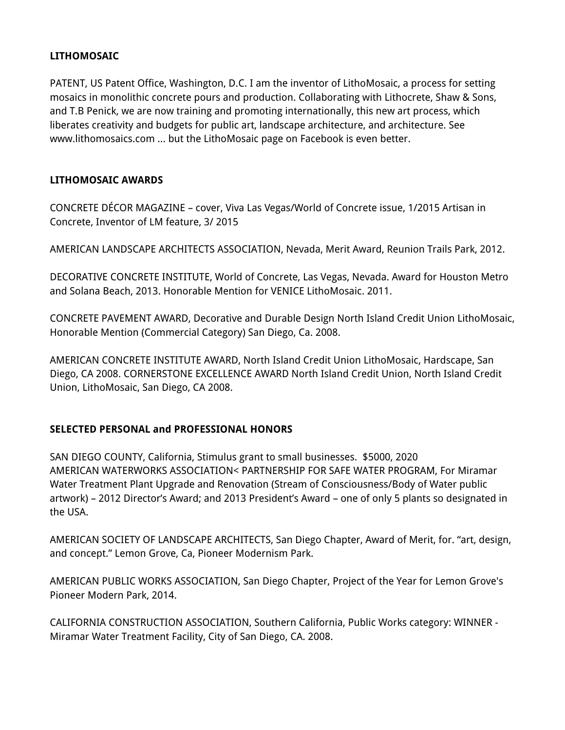# **LITHOMOSAIC**

PATENT, US Patent Office, Washington, D.C. I am the inventor of LithoMosaic, a process for setting mosaics in monolithic concrete pours and production. Collaborating with Lithocrete, Shaw & Sons, and T.B Penick, we are now training and promoting internationally, this new art process, which liberates creativity and budgets for public art, landscape architecture, and architecture. See www.lithomosaics.com ... but the LithoMosaic page on Facebook is even better.

#### **LITHOMOSAIC AWARDS**

CONCRETE DÉCOR MAGAZINE – cover, Viva Las Vegas/World of Concrete issue, 1/2015 Artisan in Concrete, Inventor of LM feature, 3/ 2015

AMERICAN LANDSCAPE ARCHITECTS ASSOCIATION, Nevada, Merit Award, Reunion Trails Park, 2012.

DECORATIVE CONCRETE INSTITUTE, World of Concrete, Las Vegas, Nevada. Award for Houston Metro and Solana Beach, 2013. Honorable Mention for VENICE LithoMosaic. 2011.

CONCRETE PAVEMENT AWARD, Decorative and Durable Design North Island Credit Union LithoMosaic, Honorable Mention (Commercial Category) San Diego, Ca. 2008.

AMERICAN CONCRETE INSTITUTE AWARD, North Island Credit Union LithoMosaic, Hardscape, San Diego, CA 2008. CORNERSTONE EXCELLENCE AWARD North Island Credit Union, North Island Credit Union, LithoMosaic, San Diego, CA 2008.

#### **SELECTED PERSONAL and PROFESSIONAL HONORS**

SAN DIEGO COUNTY, California, Stimulus grant to small businesses. \$5000, 2020 AMERICAN WATERWORKS ASSOCIATION< PARTNERSHIP FOR SAFE WATER PROGRAM, For Miramar Water Treatment Plant Upgrade and Renovation (Stream of Consciousness/Body of Water public artwork) – 2012 Director's Award; and 2013 President's Award – one of only 5 plants so designated in the USA.

AMERICAN SOCIETY OF LANDSCAPE ARCHITECTS, San Diego Chapter, Award of Merit, for. "art, design, and concept." Lemon Grove, Ca, Pioneer Modernism Park.

AMERICAN PUBLIC WORKS ASSOCIATION, San Diego Chapter, Project of the Year for Lemon Grove's Pioneer Modern Park, 2014.

CALIFORNIA CONSTRUCTION ASSOCIATION, Southern California, Public Works category: WINNER - Miramar Water Treatment Facility, City of San Diego, CA. 2008.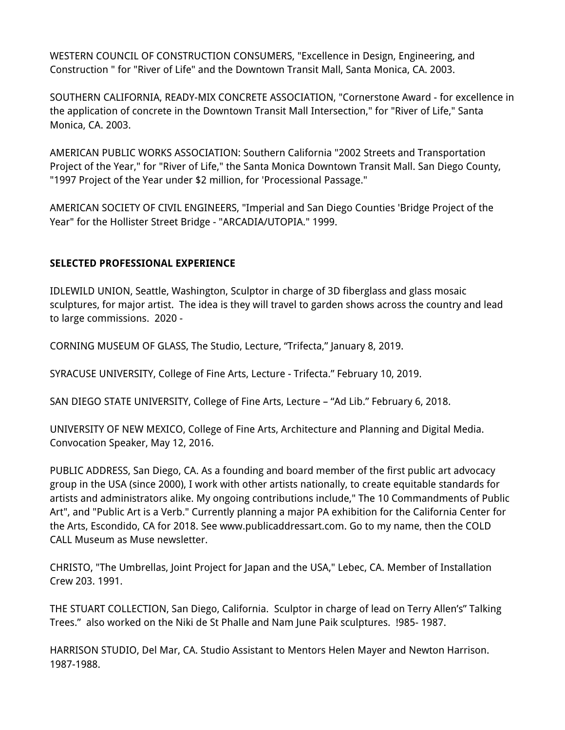WESTERN COUNCIL OF CONSTRUCTION CONSUMERS, "Excellence in Design, Engineering, and Construction " for "River of Life" and the Downtown Transit Mall, Santa Monica, CA. 2003.

SOUTHERN CALIFORNIA, READY-MIX CONCRETE ASSOCIATION, "Cornerstone Award - for excellence in the application of concrete in the Downtown Transit Mall Intersection," for "River of Life," Santa Monica, CA. 2003.

AMERICAN PUBLIC WORKS ASSOCIATION: Southern California "2002 Streets and Transportation Project of the Year," for "River of Life," the Santa Monica Downtown Transit Mall. San Diego County, "1997 Project of the Year under \$2 million, for 'Processional Passage."

AMERICAN SOCIETY OF CIVIL ENGINEERS, "Imperial and San Diego Counties 'Bridge Project of the Year" for the Hollister Street Bridge - "ARCADIA/UTOPIA." 1999.

# **SELECTED PROFESSIONAL EXPERIENCE**

IDLEWILD UNION, Seattle, Washington, Sculptor in charge of 3D fiberglass and glass mosaic sculptures, for major artist. The idea is they will travel to garden shows across the country and lead to large commissions. 2020 -

CORNING MUSEUM OF GLASS, The Studio, Lecture, "Trifecta," January 8, 2019.

SYRACUSE UNIVERSITY, College of Fine Arts, Lecture - Trifecta." February 10, 2019.

SAN DIEGO STATE UNIVERSITY, College of Fine Arts, Lecture – "Ad Lib." February 6, 2018.

UNIVERSITY OF NEW MEXICO, College of Fine Arts, Architecture and Planning and Digital Media. Convocation Speaker, May 12, 2016.

PUBLIC ADDRESS, San Diego, CA. As a founding and board member of the first public art advocacy group in the USA (since 2000), I work with other artists nationally, to create equitable standards for artists and administrators alike. My ongoing contributions include," The 10 Commandments of Public Art", and "Public Art is a Verb." Currently planning a major PA exhibition for the California Center for the Arts, Escondido, CA for 2018. See www.publicaddressart.com. Go to my name, then the COLD CALL Museum as Muse newsletter.

CHRISTO, "The Umbrellas, Joint Project for Japan and the USA," Lebec, CA. Member of Installation Crew 203. 1991.

THE STUART COLLECTION, San Diego, California. Sculptor in charge of lead on Terry Allen's" Talking Trees." also worked on the Niki de St Phalle and Nam June Paik sculptures. !985- 1987.

HARRISON STUDIO, Del Mar, CA. Studio Assistant to Mentors Helen Mayer and Newton Harrison. 1987-1988.